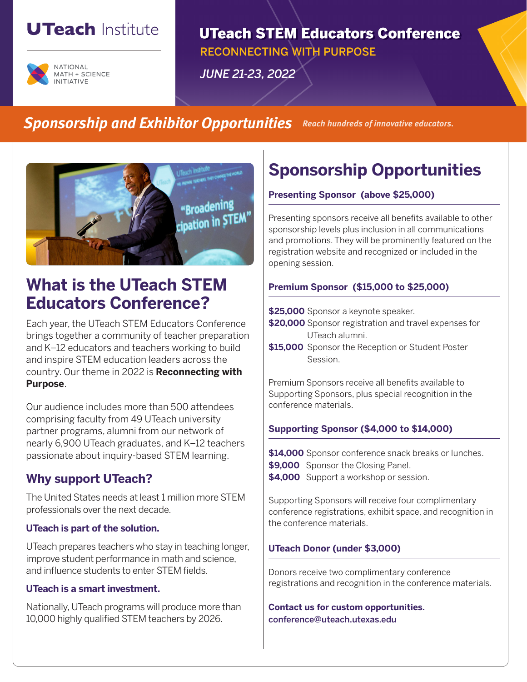# **UTeach Institute**



**UTeach STEM Educators Conference RECONNECTING WITH PURPOSE JUNE 21-23, 2022** 

### **Sponsorship and Exhibitor Opportunities Reach hundreds of innovative educators.**



## **What is the UTeach STEM Educators Conference?**

Each year, the UTeach STEM Educators Conference brings together a community of teacher preparation and K–12 educators and teachers working to build and inspire STEM education leaders across the country. Our theme in 2022 is **Reconnecting with Purpose**.

Our audience includes more than 500 attendees comprising faculty from 49 UTeach university partner programs, alumni from our network of nearly 6,900 UTeach graduates, and K–12 teachers passionate about inquiry-based STEM learning.

### **Why support UTeach?**

The United States needs at least 1 million more STEM professionals over the next decade.

#### **UTeach is part of the solution.**

UTeach prepares teachers who stay in teaching longer, improve student performance in math and science, and influence students to enter STEM fields.

#### **UTeach is a smart investment.**

Nationally, UTeach programs will produce more than 10,000 highly qualified STEM teachers by 2026.

## **Sponsorship Opportunities**

#### **Presenting Sponsor (above \$25,000)**

Presenting sponsors receive all benefits available to other sponsorship levels plus inclusion in all communications and promotions. They will be prominently featured on the registration website and recognized or included in the opening session.

#### **Premium Sponsor (\$15,000 to \$25,000)**

**\$25,000** Sponsor a keynote speaker.

- **\$20,000** Sponsor registration and travel expenses for UTeach alumni.
- **\$15,000** Sponsor the Reception or Student Poster Session.

Premium Sponsors receive all benefits available to Supporting Sponsors, plus special recognition in the conference materials.

### **Supporting Sponsor (\$4,000 to \$14,000)**

**\$14,000** Sponsor conference snack breaks or lunches. **\$9,000** Sponsor the Closing Panel.

**\$4,000** Support a workshop or session.

Supporting Sponsors will receive four complimentary conference registrations, exhibit space, and recognition in the conference materials.

#### **UTeach Donor (under \$3,000)**

Donors receive two complimentary conference registrations and recognition in the conference materials.

**Contact us for custom opportunities.** conference@uteach.utexas.edu